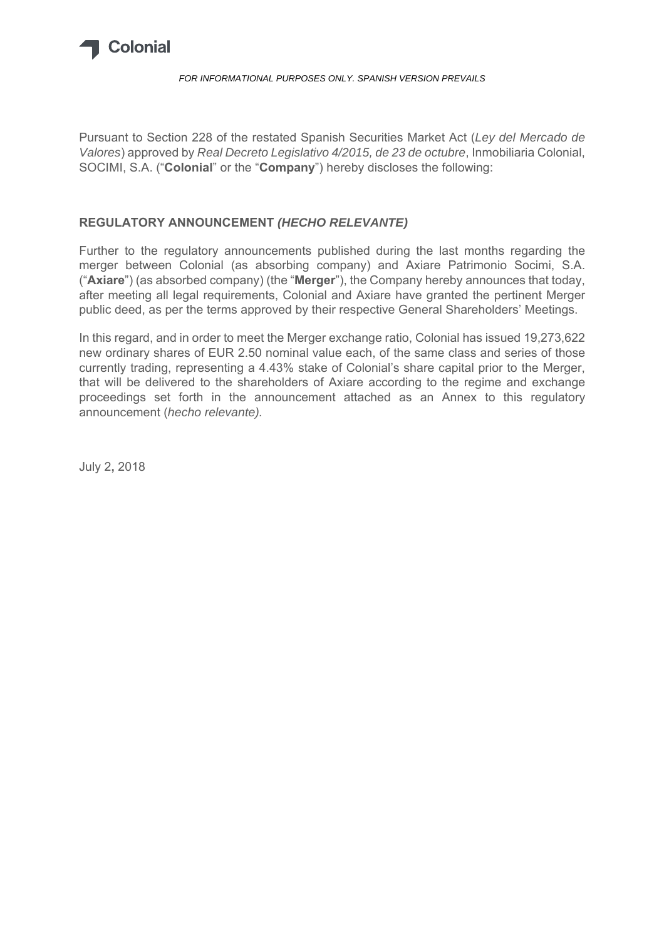

#### *FOR INFORMATIONAL PURPOSES ONLY. SPANISH VERSION PREVAILS*

Pursuant to Section 228 of the restated Spanish Securities Market Act (*Ley del Mercado de Valores*) approved by *Real Decreto Legislativo 4/2015, de 23 de octubre*, Inmobiliaria Colonial, SOCIMI, S.A. ("**Colonial**" or the "**Company**") hereby discloses the following:

#### **REGULATORY ANNOUNCEMENT** *(HECHO RELEVANTE)*

Further to the regulatory announcements published during the last months regarding the merger between Colonial (as absorbing company) and Axiare Patrimonio Socimi, S.A. ("**Axiare**") (as absorbed company) (the "**Merger**"), the Company hereby announces that today, after meeting all legal requirements, Colonial and Axiare have granted the pertinent Merger public deed, as per the terms approved by their respective General Shareholders' Meetings.

In this regard, and in order to meet the Merger exchange ratio, Colonial has issued 19,273,622 new ordinary shares of EUR 2.50 nominal value each, of the same class and series of those currently trading, representing a 4.43% stake of Colonial's share capital prior to the Merger, that will be delivered to the shareholders of Axiare according to the regime and exchange proceedings set forth in the announcement attached as an Annex to this regulatory announcement (*hecho relevante).* 

July 2**,** 2018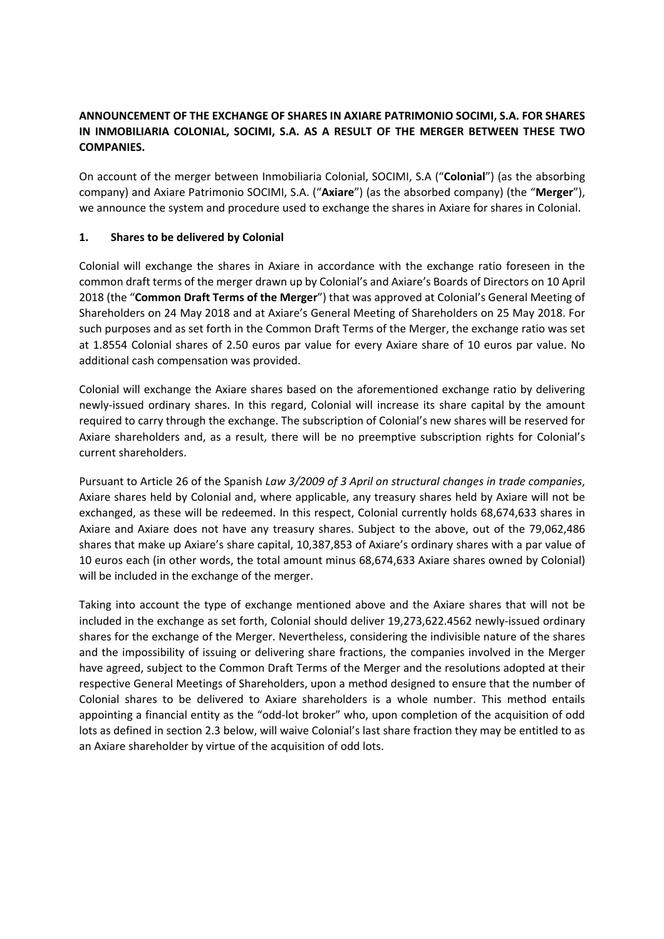# **ANNOUNCEMENT OF THE EXCHANGE OF SHARES IN AXIARE PATRIMONIO SOCIMI, S.A. FOR SHARES IN INMOBILIARIA COLONIAL, SOCIMI, S.A. AS A RESULT OF THE MERGER BETWEEN THESE TWO COMPANIES.**

On account of the merger between Inmobiliaria Colonial, SOCIMI, S.A ("**Colonial**") (as the absorbing company) and Axiare Patrimonio SOCIMI, S.A. ("**Axiare**") (as the absorbed company) (the "**Merger**"), we announce the system and procedure used to exchange the shares in Axiare for shares in Colonial.

#### **1. Shares to be delivered by Colonial**

Colonial will exchange the shares in Axiare in accordance with the exchange ratio foreseen in the common draft terms of the merger drawn up by Colonial's and Axiare's Boards of Directors on 10 April 2018 (the "**Common Draft Terms of the Merger**") that was approved at Colonial's General Meeting of Shareholders on 24 May 2018 and at Axiare's General Meeting of Shareholders on 25 May 2018. For such purposes and as set forth in the Common Draft Terms of the Merger, the exchange ratio was set at 1.8554 Colonial shares of 2.50 euros par value for every Axiare share of 10 euros par value. No additional cash compensation was provided.

Colonial will exchange the Axiare shares based on the aforementioned exchange ratio by delivering newly-issued ordinary shares. In this regard, Colonial will increase its share capital by the amount required to carry through the exchange. The subscription of Colonial's new shares will be reserved for Axiare shareholders and, as a result, there will be no preemptive subscription rights for Colonial's current shareholders.

Pursuant to Article 26 of the Spanish *Law 3/2009 of 3 April on structural changes in trade companies*, Axiare shares held by Colonial and, where applicable, any treasury shares held by Axiare will not be exchanged, as these will be redeemed. In this respect, Colonial currently holds 68,674,633 shares in Axiare and Axiare does not have any treasury shares. Subject to the above, out of the 79,062,486 shares that make up Axiare's share capital, 10,387,853 of Axiare's ordinary shares with a par value of 10 euros each (in other words, the total amount minus 68,674,633 Axiare shares owned by Colonial) will be included in the exchange of the merger.

Taking into account the type of exchange mentioned above and the Axiare shares that will not be included in the exchange as set forth, Colonial should deliver 19,273,622.4562 newly-issued ordinary shares for the exchange of the Merger. Nevertheless, considering the indivisible nature of the shares and the impossibility of issuing or delivering share fractions, the companies involved in the Merger have agreed, subject to the Common Draft Terms of the Merger and the resolutions adopted at their respective General Meetings of Shareholders, upon a method designed to ensure that the number of Colonial shares to be delivered to Axiare shareholders is a whole number. This method entails appointing a financial entity as the "odd‐lot broker" who, upon completion of the acquisition of odd lots as defined in section 2.3 below, will waive Colonial's last share fraction they may be entitled to as an Axiare shareholder by virtue of the acquisition of odd lots.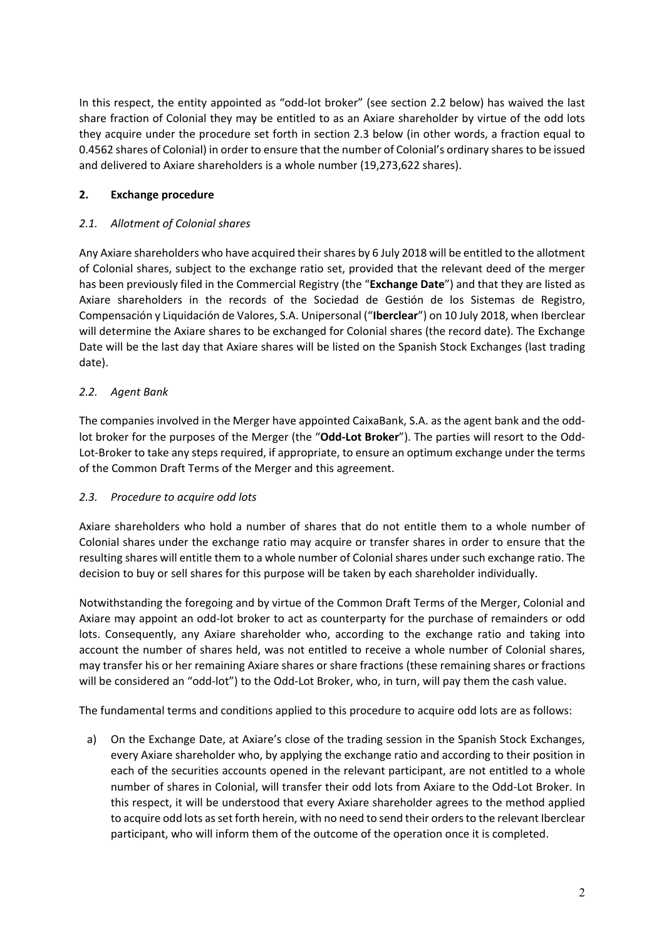In this respect, the entity appointed as "odd-lot broker" (see section 2.2 below) has waived the last share fraction of Colonial they may be entitled to as an Axiare shareholder by virtue of the odd lots they acquire under the procedure set forth in section 2.3 below (in other words, a fraction equal to 0.4562 shares of Colonial) in order to ensure that the number of Colonial's ordinary shares to be issued and delivered to Axiare shareholders is a whole number (19,273,622 shares).

# **2. Exchange procedure**

# *2.1. Allotment of Colonial shares*

Any Axiare shareholders who have acquired their shares by 6 July 2018 will be entitled to the allotment of Colonial shares, subject to the exchange ratio set, provided that the relevant deed of the merger has been previously filed in the Commercial Registry (the "**Exchange Date**") and that they are listed as Axiare shareholders in the records of the Sociedad de Gestión de los Sistemas de Registro, Compensación y Liquidación de Valores, S.A. Unipersonal ("**Iberclear**") on 10 July 2018, when Iberclear will determine the Axiare shares to be exchanged for Colonial shares (the record date). The Exchange Date will be the last day that Axiare shares will be listed on the Spanish Stock Exchanges (last trading date).

# *2.2. Agent Bank*

The companies involved in the Merger have appointed CaixaBank, S.A. as the agent bank and the odd‐ lot broker for the purposes of the Merger (the "**Odd‐Lot Broker**"). The parties will resort to the Odd‐ Lot-Broker to take any steps required, if appropriate, to ensure an optimum exchange under the terms of the Common Draft Terms of the Merger and this agreement.

#### *2.3. Procedure to acquire odd lots*

Axiare shareholders who hold a number of shares that do not entitle them to a whole number of Colonial shares under the exchange ratio may acquire or transfer shares in order to ensure that the resulting shares will entitle them to a whole number of Colonial shares under such exchange ratio. The decision to buy or sell shares for this purpose will be taken by each shareholder individually.

Notwithstanding the foregoing and by virtue of the Common Draft Terms of the Merger, Colonial and Axiare may appoint an odd‐lot broker to act as counterparty for the purchase of remainders or odd lots. Consequently, any Axiare shareholder who, according to the exchange ratio and taking into account the number of shares held, was not entitled to receive a whole number of Colonial shares, may transfer his or her remaining Axiare shares or share fractions (these remaining shares or fractions will be considered an "odd-lot") to the Odd-Lot Broker, who, in turn, will pay them the cash value.

The fundamental terms and conditions applied to this procedure to acquire odd lots are as follows:

a) On the Exchange Date, at Axiare's close of the trading session in the Spanish Stock Exchanges, every Axiare shareholder who, by applying the exchange ratio and according to their position in each of the securities accounts opened in the relevant participant, are not entitled to a whole number of shares in Colonial, will transfer their odd lots from Axiare to the Odd‐Lot Broker. In this respect, it will be understood that every Axiare shareholder agrees to the method applied to acquire odd lots as set forth herein, with no need to send their orders to the relevant Iberclear participant, who will inform them of the outcome of the operation once it is completed.